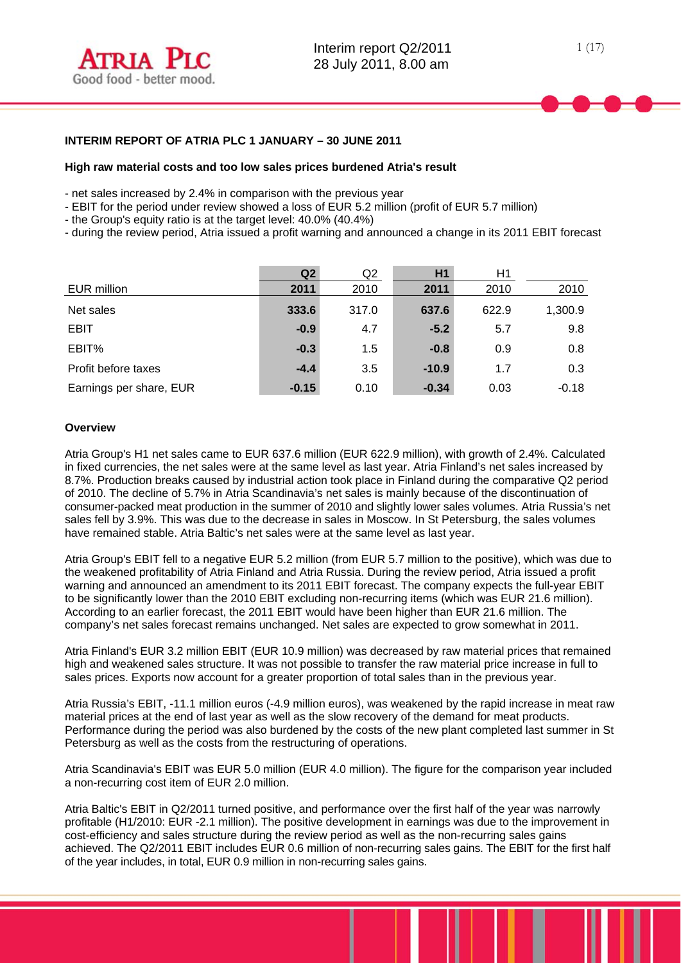### **High raw material costs and too low sales prices burdened Atria's result**

- net sales increased by 2.4% in comparison with the previous year
- EBIT for the period under review showed a loss of EUR 5.2 million (profit of EUR 5.7 million)
- the Group's equity ratio is at the target level: 40.0% (40.4%)
- during the review period, Atria issued a profit warning and announced a change in its 2011 EBIT forecast

|                         | Q <sub>2</sub> | Q2    | H <sub>1</sub> | H1    |         |
|-------------------------|----------------|-------|----------------|-------|---------|
| EUR million             | 2011           | 2010  | 2011           | 2010  | 2010    |
| Net sales               | 333.6          | 317.0 | 637.6          | 622.9 | 1,300.9 |
| <b>EBIT</b>             | $-0.9$         | 4.7   | $-5.2$         | 5.7   | 9.8     |
| EBIT%                   | $-0.3$         | 1.5   | $-0.8$         | 0.9   | 0.8     |
| Profit before taxes     | $-4.4$         | 3.5   | $-10.9$        | 1.7   | 0.3     |
| Earnings per share, EUR | $-0.15$        | 0.10  | $-0.34$        | 0.03  | $-0.18$ |

### **Overview**

Atria Group's H1 net sales came to EUR 637.6 million (EUR 622.9 million), with growth of 2.4%. Calculated in fixed currencies, the net sales were at the same level as last year. Atria Finland's net sales increased by 8.7%. Production breaks caused by industrial action took place in Finland during the comparative Q2 period of 2010. The decline of 5.7% in Atria Scandinavia's net sales is mainly because of the discontinuation of consumer-packed meat production in the summer of 2010 and slightly lower sales volumes. Atria Russia's net sales fell by 3.9%. This was due to the decrease in sales in Moscow. In St Petersburg, the sales volumes have remained stable. Atria Baltic's net sales were at the same level as last year.

Atria Group's EBIT fell to a negative EUR 5.2 million (from EUR 5.7 million to the positive), which was due to the weakened profitability of Atria Finland and Atria Russia. During the review period, Atria issued a profit warning and announced an amendment to its 2011 EBIT forecast. The company expects the full-year EBIT to be significantly lower than the 2010 EBIT excluding non-recurring items (which was EUR 21.6 million). According to an earlier forecast, the 2011 EBIT would have been higher than EUR 21.6 million. The company's net sales forecast remains unchanged. Net sales are expected to grow somewhat in 2011.

Atria Finland's EUR 3.2 million EBIT (EUR 10.9 million) was decreased by raw material prices that remained high and weakened sales structure. It was not possible to transfer the raw material price increase in full to sales prices. Exports now account for a greater proportion of total sales than in the previous year.

Atria Russia's EBIT, -11.1 million euros (-4.9 million euros), was weakened by the rapid increase in meat raw material prices at the end of last year as well as the slow recovery of the demand for meat products. Performance during the period was also burdened by the costs of the new plant completed last summer in St Petersburg as well as the costs from the restructuring of operations.

Atria Scandinavia's EBIT was EUR 5.0 million (EUR 4.0 million). The figure for the comparison year included a non-recurring cost item of EUR 2.0 million.

Atria Baltic's EBIT in Q2/2011 turned positive, and performance over the first half of the year was narrowly profitable (H1/2010: EUR -2.1 million). The positive development in earnings was due to the improvement in cost-efficiency and sales structure during the review period as well as the non-recurring sales gains achieved. The Q2/2011 EBIT includes EUR 0.6 million of non-recurring sales gains. The EBIT for the first half of the year includes, in total, EUR 0.9 million in non-recurring sales gains.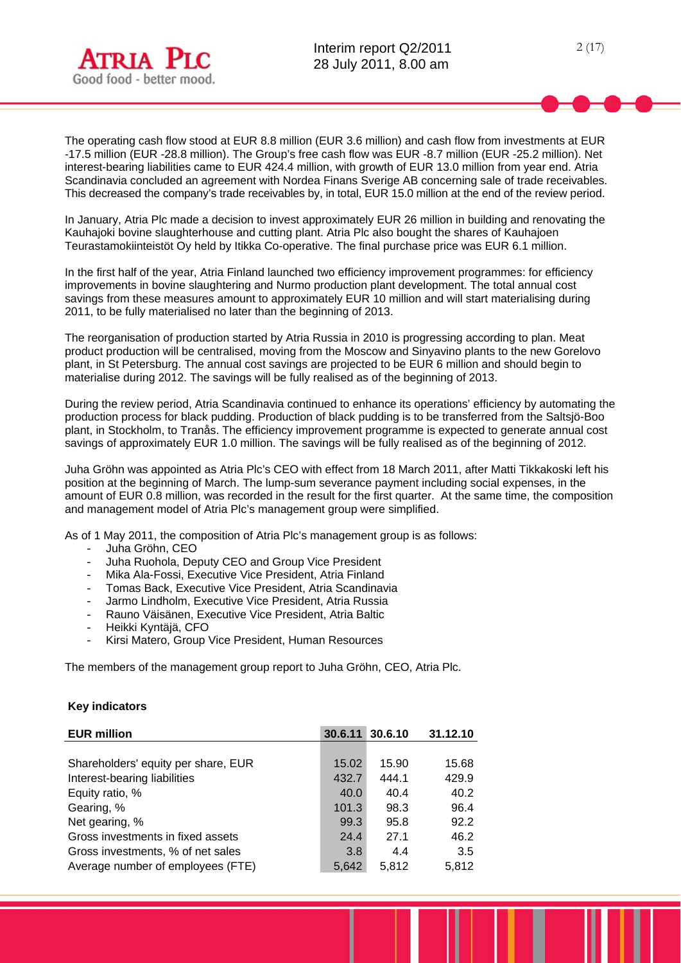

2 (17)

The operating cash flow stood at EUR 8.8 million (EUR 3.6 million) and cash flow from investments at EUR -17.5 million (EUR -28.8 million). The Group's free cash flow was EUR -8.7 million (EUR -25.2 million). Net interest-bearing liabilities came to EUR 424.4 million, with growth of EUR 13.0 million from year end. Atria Scandinavia concluded an agreement with Nordea Finans Sverige AB concerning sale of trade receivables. This decreased the company's trade receivables by, in total, EUR 15.0 million at the end of the review period.

In January, Atria Plc made a decision to invest approximately EUR 26 million in building and renovating the Kauhajoki bovine slaughterhouse and cutting plant. Atria Plc also bought the shares of Kauhajoen Teurastamokiinteistöt Oy held by Itikka Co-operative. The final purchase price was EUR 6.1 million.

In the first half of the year, Atria Finland launched two efficiency improvement programmes: for efficiency improvements in bovine slaughtering and Nurmo production plant development. The total annual cost savings from these measures amount to approximately EUR 10 million and will start materialising during 2011, to be fully materialised no later than the beginning of 2013.

The reorganisation of production started by Atria Russia in 2010 is progressing according to plan. Meat product production will be centralised, moving from the Moscow and Sinyavino plants to the new Gorelovo plant, in St Petersburg. The annual cost savings are projected to be EUR 6 million and should begin to materialise during 2012. The savings will be fully realised as of the beginning of 2013.

During the review period, Atria Scandinavia continued to enhance its operations' efficiency by automating the production process for black pudding. Production of black pudding is to be transferred from the Saltsjö-Boo plant, in Stockholm, to Tranås. The efficiency improvement programme is expected to generate annual cost savings of approximately EUR 1.0 million. The savings will be fully realised as of the beginning of 2012.

Juha Gröhn was appointed as Atria Plc's CEO with effect from 18 March 2011, after Matti Tikkakoski left his position at the beginning of March. The lump-sum severance payment including social expenses, in the amount of EUR 0.8 million, was recorded in the result for the first quarter. At the same time, the composition and management model of Atria Plc's management group were simplified.

As of 1 May 2011, the composition of Atria Plc's management group is as follows:

- Juha Gröhn, CEO
- Juha Ruohola, Deputy CEO and Group Vice President
- Mika Ala-Fossi, Executive Vice President, Atria Finland
- Tomas Back, Executive Vice President, Atria Scandinavia
- Jarmo Lindholm, Executive Vice President, Atria Russia
- Rauno Väisänen, Executive Vice President, Atria Baltic
- Heikki Kyntäjä, CFO
- Kirsi Matero, Group Vice President, Human Resources

The members of the management group report to Juha Gröhn, CEO, Atria Plc.

### **Key indicators**

| <b>EUR million</b>                  | 30.6.11 | 30.6.10 | 31.12.10 |
|-------------------------------------|---------|---------|----------|
|                                     |         |         |          |
| Shareholders' equity per share, EUR | 15.02   | 15.90   | 15.68    |
| Interest-bearing liabilities        | 432.7   | 444.1   | 429.9    |
| Equity ratio, %                     | 40.0    | 40.4    | 40.2     |
| Gearing, %                          | 101.3   | 98.3    | 96.4     |
| Net gearing, %                      | 99.3    | 95.8    | 92.2     |
| Gross investments in fixed assets   | 24.4    | 27.1    | 46.2     |
| Gross investments, % of net sales   | 3.8     | 4.4     | 3.5      |
| Average number of employees (FTE)   | 5.642   | 5.812   | 5.812    |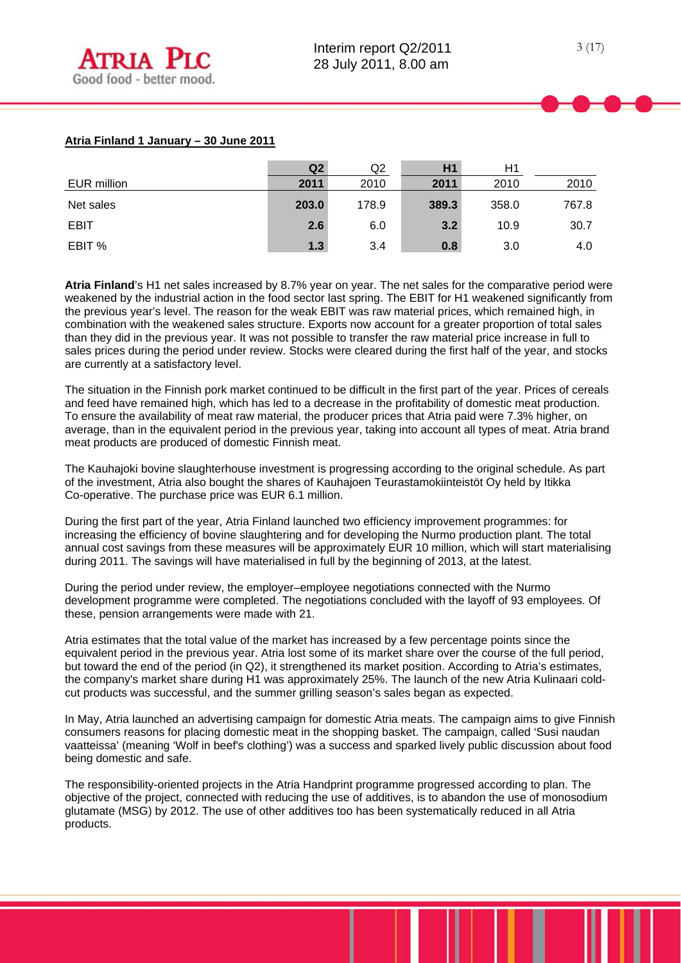## **Atria Finland 1 January – 30 June 2011**

|             | Q <sub>2</sub> | Q <sub>2</sub> | H1    | H1    |       |
|-------------|----------------|----------------|-------|-------|-------|
| EUR million | 2011           | 2010           | 2011  | 2010  | 2010  |
| Net sales   | 203.0          | 178.9          | 389.3 | 358.0 | 767.8 |
| <b>EBIT</b> | 2.6            | 6.0            | 3.2   | 10.9  | 30.7  |
| EBIT %      | 1.3            | 3.4            | 0.8   | 3.0   | 4.0   |

**Atria Finland**'s H1 net sales increased by 8.7% year on year. The net sales for the comparative period were weakened by the industrial action in the food sector last spring. The EBIT for H1 weakened significantly from the previous year's level. The reason for the weak EBIT was raw material prices, which remained high, in combination with the weakened sales structure. Exports now account for a greater proportion of total sales than they did in the previous year. It was not possible to transfer the raw material price increase in full to sales prices during the period under review. Stocks were cleared during the first half of the year, and stocks are currently at a satisfactory level.

The situation in the Finnish pork market continued to be difficult in the first part of the year. Prices of cereals and feed have remained high, which has led to a decrease in the profitability of domestic meat production. To ensure the availability of meat raw material, the producer prices that Atria paid were 7.3% higher, on average, than in the equivalent period in the previous year, taking into account all types of meat. Atria brand meat products are produced of domestic Finnish meat.

The Kauhajoki bovine slaughterhouse investment is progressing according to the original schedule. As part of the investment, Atria also bought the shares of Kauhajoen Teurastamokiinteistöt Oy held by Itikka Co-operative. The purchase price was EUR 6.1 million.

During the first part of the year, Atria Finland launched two efficiency improvement programmes: for increasing the efficiency of bovine slaughtering and for developing the Nurmo production plant. The total annual cost savings from these measures will be approximately EUR 10 million, which will start materialising during 2011. The savings will have materialised in full by the beginning of 2013, at the latest.

During the period under review, the employer–employee negotiations connected with the Nurmo development programme were completed. The negotiations concluded with the layoff of 93 employees. Of these, pension arrangements were made with 21.

Atria estimates that the total value of the market has increased by a few percentage points since the equivalent period in the previous year. Atria lost some of its market share over the course of the full period, but toward the end of the period (in Q2), it strengthened its market position. According to Atria's estimates, the company's market share during H1 was approximately 25%. The launch of the new Atria Kulinaari coldcut products was successful, and the summer grilling season's sales began as expected.

In May, Atria launched an advertising campaign for domestic Atria meats. The campaign aims to give Finnish consumers reasons for placing domestic meat in the shopping basket. The campaign, called 'Susi naudan vaatteissa' (meaning 'Wolf in beef's clothing') was a success and sparked lively public discussion about food being domestic and safe.

The responsibility-oriented projects in the Atria Handprint programme progressed according to plan. The objective of the project, connected with reducing the use of additives, is to abandon the use of monosodium glutamate (MSG) by 2012. The use of other additives too has been systematically reduced in all Atria products.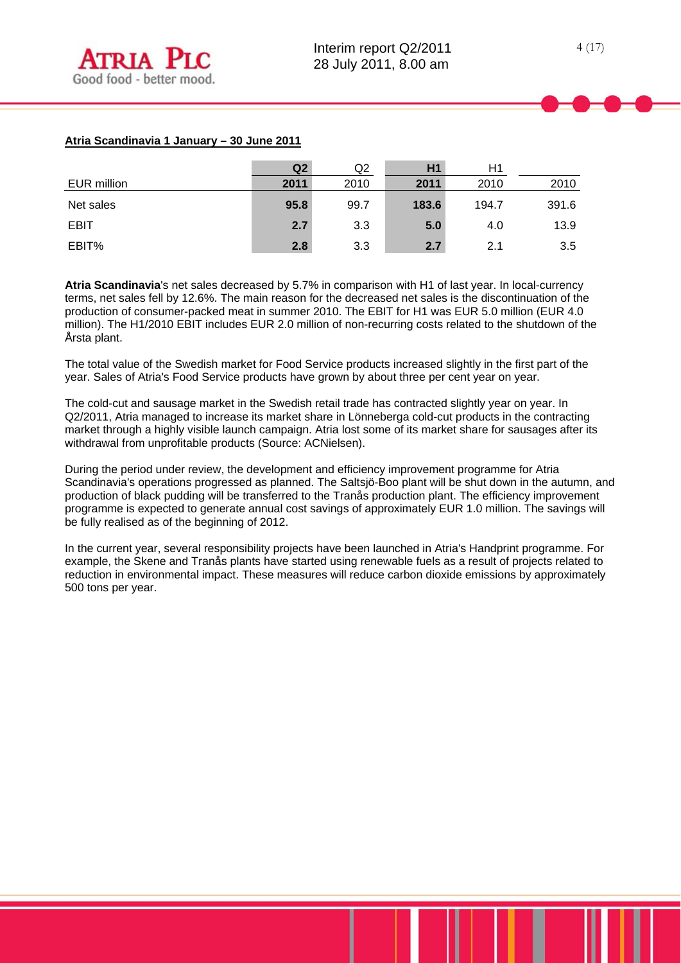# **Atria Scandinavia 1 January – 30 June 2011**

|             | Q2   | Q2   | H1    | H1    |       |
|-------------|------|------|-------|-------|-------|
| EUR million | 2011 | 2010 | 2011  | 2010  | 2010  |
| Net sales   | 95.8 | 99.7 | 183.6 | 194.7 | 391.6 |
| <b>EBIT</b> | 2.7  | 3.3  | 5.0   | 4.0   | 13.9  |
| EBIT%       | 2.8  | 3.3  | 2.7   | 2.1   | 3.5   |

**Atria Scandinavia**'s net sales decreased by 5.7% in comparison with H1 of last year. In local-currency terms, net sales fell by 12.6%. The main reason for the decreased net sales is the discontinuation of the production of consumer-packed meat in summer 2010. The EBIT for H1 was EUR 5.0 million (EUR 4.0 million). The H1/2010 EBIT includes EUR 2.0 million of non-recurring costs related to the shutdown of the Årsta plant.

The total value of the Swedish market for Food Service products increased slightly in the first part of the year. Sales of Atria's Food Service products have grown by about three per cent year on year.

The cold-cut and sausage market in the Swedish retail trade has contracted slightly year on year. In Q2/2011, Atria managed to increase its market share in Lönneberga cold-cut products in the contracting market through a highly visible launch campaign. Atria lost some of its market share for sausages after its withdrawal from unprofitable products (Source: ACNielsen).

During the period under review, the development and efficiency improvement programme for Atria Scandinavia's operations progressed as planned. The Saltsjö-Boo plant will be shut down in the autumn, and production of black pudding will be transferred to the Tranås production plant. The efficiency improvement programme is expected to generate annual cost savings of approximately EUR 1.0 million. The savings will be fully realised as of the beginning of 2012.

In the current year, several responsibility projects have been launched in Atria's Handprint programme. For example, the Skene and Tranås plants have started using renewable fuels as a result of projects related to reduction in environmental impact. These measures will reduce carbon dioxide emissions by approximately 500 tons per year.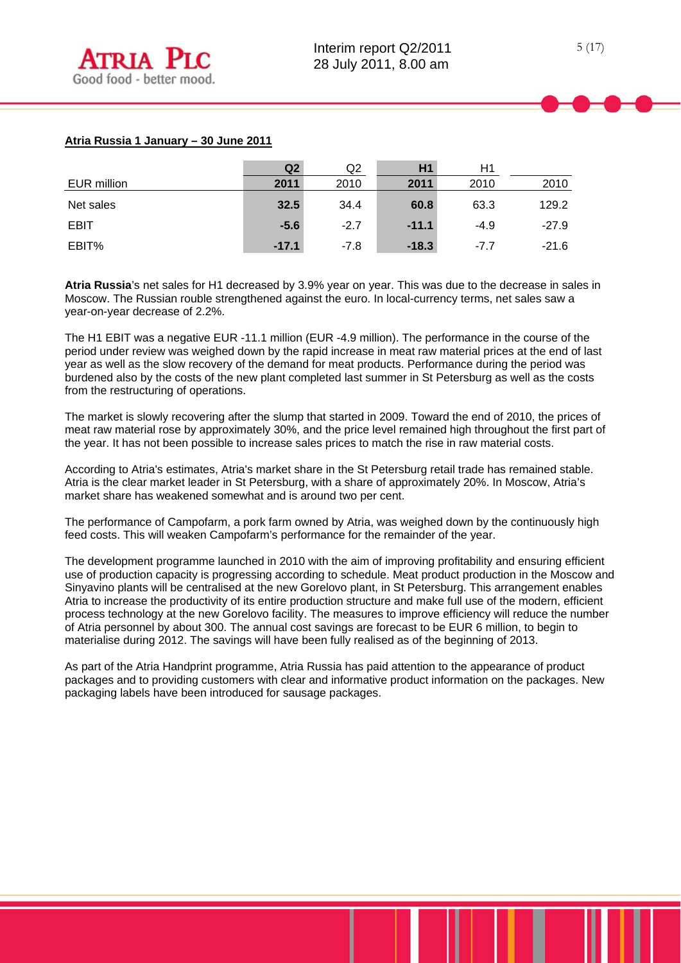## **Atria Russia 1 January – 30 June 2011**

|                    | Q2      | Q2     | H1      | H1     |         |
|--------------------|---------|--------|---------|--------|---------|
| <b>EUR million</b> | 2011    | 2010   | 2011    | 2010   | 2010    |
| Net sales          | 32.5    | 34.4   | 60.8    | 63.3   | 129.2   |
| <b>EBIT</b>        | $-5.6$  | $-2.7$ | $-11.1$ | $-4.9$ | $-27.9$ |
| EBIT%              | $-17.1$ | $-7.8$ | $-18.3$ | $-7.7$ | $-21.6$ |

**Atria Russia**'s net sales for H1 decreased by 3.9% year on year. This was due to the decrease in sales in Moscow. The Russian rouble strengthened against the euro. In local-currency terms, net sales saw a year-on-year decrease of 2.2%.

The H1 EBIT was a negative EUR -11.1 million (EUR -4.9 million). The performance in the course of the period under review was weighed down by the rapid increase in meat raw material prices at the end of last year as well as the slow recovery of the demand for meat products. Performance during the period was burdened also by the costs of the new plant completed last summer in St Petersburg as well as the costs from the restructuring of operations.

The market is slowly recovering after the slump that started in 2009. Toward the end of 2010, the prices of meat raw material rose by approximately 30%, and the price level remained high throughout the first part of the year. It has not been possible to increase sales prices to match the rise in raw material costs.

According to Atria's estimates, Atria's market share in the St Petersburg retail trade has remained stable. Atria is the clear market leader in St Petersburg, with a share of approximately 20%. In Moscow, Atria's market share has weakened somewhat and is around two per cent.

The performance of Campofarm, a pork farm owned by Atria, was weighed down by the continuously high feed costs. This will weaken Campofarm's performance for the remainder of the year.

The development programme launched in 2010 with the aim of improving profitability and ensuring efficient use of production capacity is progressing according to schedule. Meat product production in the Moscow and Sinyavino plants will be centralised at the new Gorelovo plant, in St Petersburg. This arrangement enables Atria to increase the productivity of its entire production structure and make full use of the modern, efficient process technology at the new Gorelovo facility. The measures to improve efficiency will reduce the number of Atria personnel by about 300. The annual cost savings are forecast to be EUR 6 million, to begin to materialise during 2012. The savings will have been fully realised as of the beginning of 2013.

As part of the Atria Handprint programme, Atria Russia has paid attention to the appearance of product packages and to providing customers with clear and informative product information on the packages. New packaging labels have been introduced for sausage packages.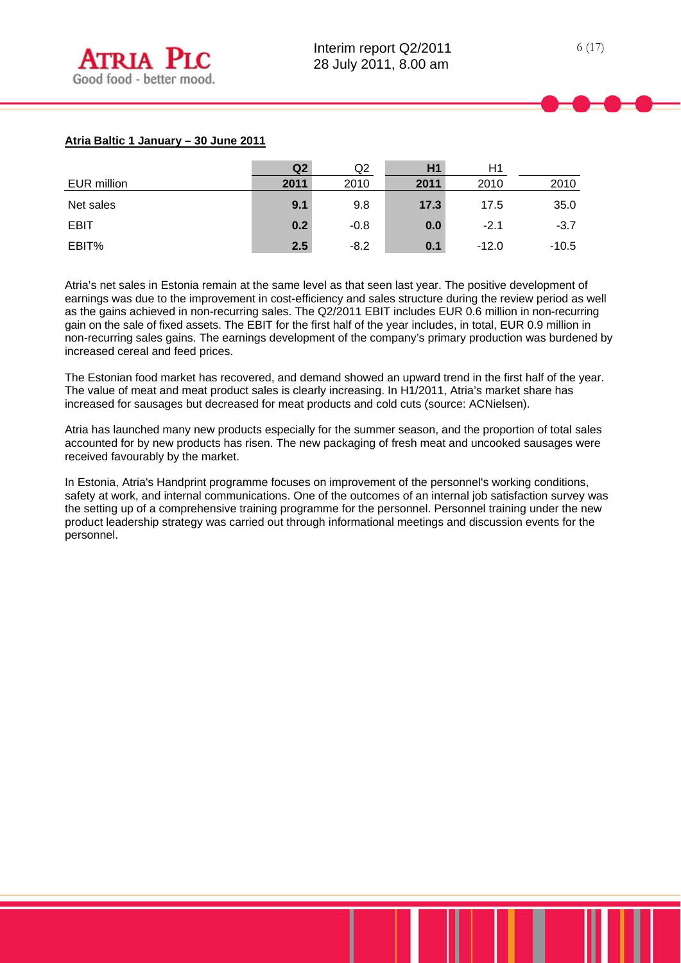## **Atria Baltic 1 January – 30 June 2011**

|             | Q2   | Q2     | H <sub>1</sub> | H1      |         |
|-------------|------|--------|----------------|---------|---------|
| EUR million | 2011 | 2010   | 2011           | 2010    | 2010    |
| Net sales   | 9.1  | 9.8    | 17.3           | 17.5    | 35.0    |
| <b>EBIT</b> | 0.2  | $-0.8$ | 0.0            | $-2.1$  | $-3.7$  |
| EBIT%       | 2.5  | $-8.2$ | 0.1            | $-12.0$ | $-10.5$ |

Atria's net sales in Estonia remain at the same level as that seen last year. The positive development of earnings was due to the improvement in cost-efficiency and sales structure during the review period as well as the gains achieved in non-recurring sales. The Q2/2011 EBIT includes EUR 0.6 million in non-recurring gain on the sale of fixed assets. The EBIT for the first half of the year includes, in total, EUR 0.9 million in non-recurring sales gains. The earnings development of the company's primary production was burdened by increased cereal and feed prices.

The Estonian food market has recovered, and demand showed an upward trend in the first half of the year. The value of meat and meat product sales is clearly increasing. In H1/2011, Atria's market share has increased for sausages but decreased for meat products and cold cuts (source: ACNielsen).

Atria has launched many new products especially for the summer season, and the proportion of total sales accounted for by new products has risen. The new packaging of fresh meat and uncooked sausages were received favourably by the market.

In Estonia, Atria's Handprint programme focuses on improvement of the personnel's working conditions, safety at work, and internal communications. One of the outcomes of an internal job satisfaction survey was the setting up of a comprehensive training programme for the personnel. Personnel training under the new product leadership strategy was carried out through informational meetings and discussion events for the personnel.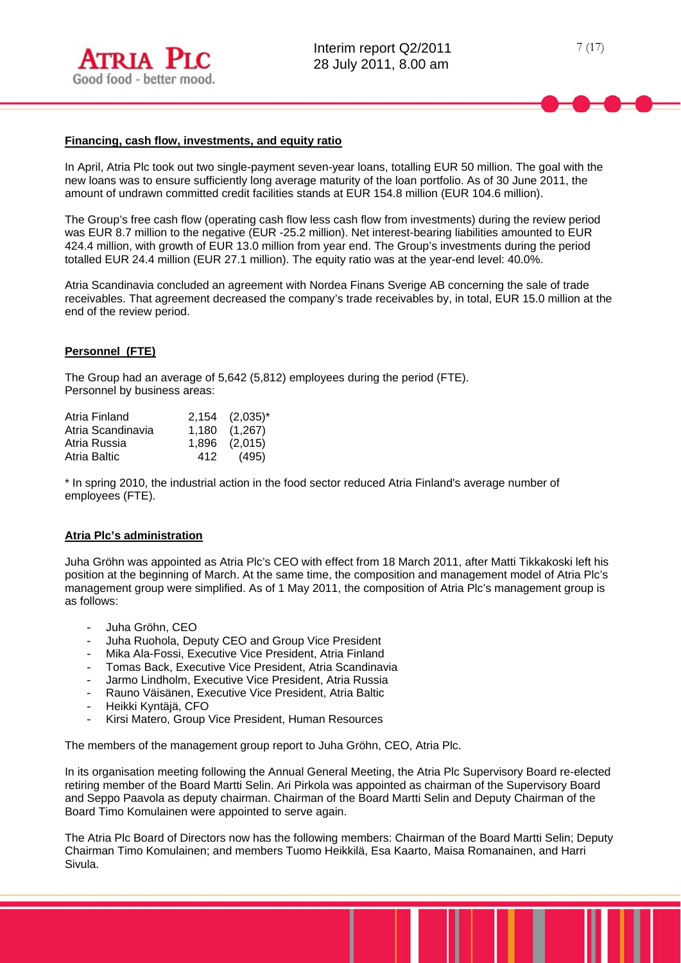

### **Financing, cash flow, investments, and equity ratio**

In April, Atria Plc took out two single-payment seven-year loans, totalling EUR 50 million. The goal with the new loans was to ensure sufficiently long average maturity of the loan portfolio. As of 30 June 2011, the amount of undrawn committed credit facilities stands at EUR 154.8 million (EUR 104.6 million).

The Group's free cash flow (operating cash flow less cash flow from investments) during the review period was EUR 8.7 million to the negative (EUR -25.2 million). Net interest-bearing liabilities amounted to EUR 424.4 million, with growth of EUR 13.0 million from year end. The Group's investments during the period totalled EUR 24.4 million (EUR 27.1 million). The equity ratio was at the year-end level: 40.0%.

Atria Scandinavia concluded an agreement with Nordea Finans Sverige AB concerning the sale of trade receivables. That agreement decreased the company's trade receivables by, in total, EUR 15.0 million at the end of the review period.

### **Personnel (FTE)**

The Group had an average of 5,642 (5,812) employees during the period (FTE). Personnel by business areas:

| Atria Finland     |     | $2,154$ $(2,035)^{*}$ |
|-------------------|-----|-----------------------|
| Atria Scandinavia |     | 1,180 (1,267)         |
| Atria Russia      |     | 1,896 (2,015)         |
| Atria Baltic      | 412 | (495)                 |

\* In spring 2010, the industrial action in the food sector reduced Atria Finland's average number of employees (FTE).

### **Atria Plc's administration**

Juha Gröhn was appointed as Atria Plc's CEO with effect from 18 March 2011, after Matti Tikkakoski left his position at the beginning of March. At the same time, the composition and management model of Atria Plc's management group were simplified. As of 1 May 2011, the composition of Atria Plc's management group is as follows:

- Juha Gröhn, CEO
- Juha Ruohola, Deputy CEO and Group Vice President
- Mika Ala-Fossi, Executive Vice President, Atria Finland
- Tomas Back, Executive Vice President, Atria Scandinavia
- Jarmo Lindholm, Executive Vice President, Atria Russia
- Rauno Väisänen, Executive Vice President, Atria Baltic
- Heikki Kyntäjä, CFO
- Kirsi Matero, Group Vice President, Human Resources

The members of the management group report to Juha Gröhn, CEO, Atria Plc.

In its organisation meeting following the Annual General Meeting, the Atria Plc Supervisory Board re-elected retiring member of the Board Martti Selin. Ari Pirkola was appointed as chairman of the Supervisory Board and Seppo Paavola as deputy chairman. Chairman of the Board Martti Selin and Deputy Chairman of the Board Timo Komulainen were appointed to serve again.

The Atria Plc Board of Directors now has the following members: Chairman of the Board Martti Selin; Deputy Chairman Timo Komulainen; and members Tuomo Heikkilä, Esa Kaarto, Maisa Romanainen, and Harri Sivula.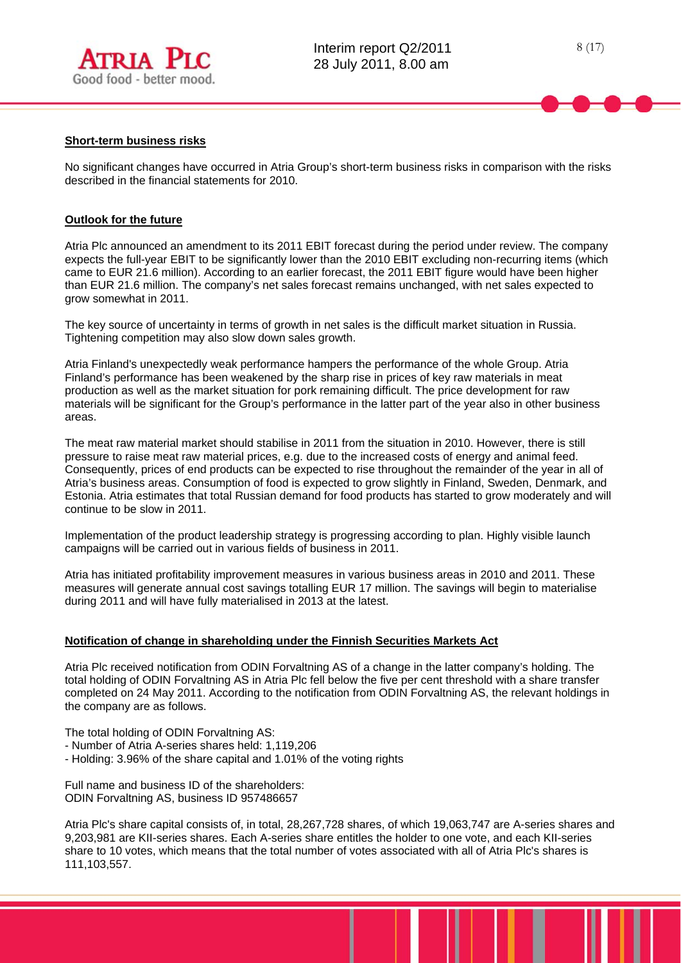

### **Short-term business risks**

l

No significant changes have occurred in Atria Group's short-term business risks in comparison with the risks described in the financial statements for 2010.

## **Outlook for the future**

Atria Plc announced an amendment to its 2011 EBIT forecast during the period under review. The company expects the full-year EBIT to be significantly lower than the 2010 EBIT excluding non-recurring items (which came to EUR 21.6 million). According to an earlier forecast, the 2011 EBIT figure would have been higher than EUR 21.6 million. The company's net sales forecast remains unchanged, with net sales expected to grow somewhat in 2011.

The key source of uncertainty in terms of growth in net sales is the difficult market situation in Russia. Tightening competition may also slow down sales growth.

Atria Finland's unexpectedly weak performance hampers the performance of the whole Group. Atria Finland's performance has been weakened by the sharp rise in prices of key raw materials in meat production as well as the market situation for pork remaining difficult. The price development for raw materials will be significant for the Group's performance in the latter part of the year also in other business areas.

The meat raw material market should stabilise in 2011 from the situation in 2010. However, there is still pressure to raise meat raw material prices, e.g. due to the increased costs of energy and animal feed. Consequently, prices of end products can be expected to rise throughout the remainder of the year in all of Atria's business areas. Consumption of food is expected to grow slightly in Finland, Sweden, Denmark, and Estonia. Atria estimates that total Russian demand for food products has started to grow moderately and will continue to be slow in 2011.

Implementation of the product leadership strategy is progressing according to plan. Highly visible launch campaigns will be carried out in various fields of business in 2011.

Atria has initiated profitability improvement measures in various business areas in 2010 and 2011. These measures will generate annual cost savings totalling EUR 17 million. The savings will begin to materialise during 2011 and will have fully materialised in 2013 at the latest.

### **Notification of change in shareholding under the Finnish Securities Markets Act**

Atria Plc received notification from ODIN Forvaltning AS of a change in the latter company's holding. The total holding of ODIN Forvaltning AS in Atria Plc fell below the five per cent threshold with a share transfer completed on 24 May 2011. According to the notification from ODIN Forvaltning AS, the relevant holdings in the company are as follows.

The total holding of ODIN Forvaltning AS:

- Number of Atria A-series shares held: 1,119,206
- Holding: 3.96% of the share capital and 1.01% of the voting rights

Full name and business ID of the shareholders: ODIN Forvaltning AS, business ID 957486657

Atria Plc's share capital consists of, in total, 28,267,728 shares, of which 19,063,747 are A-series shares and 9,203,981 are KII-series shares. Each A-series share entitles the holder to one vote, and each KII-series share to 10 votes, which means that the total number of votes associated with all of Atria Plc's shares is 111,103,557.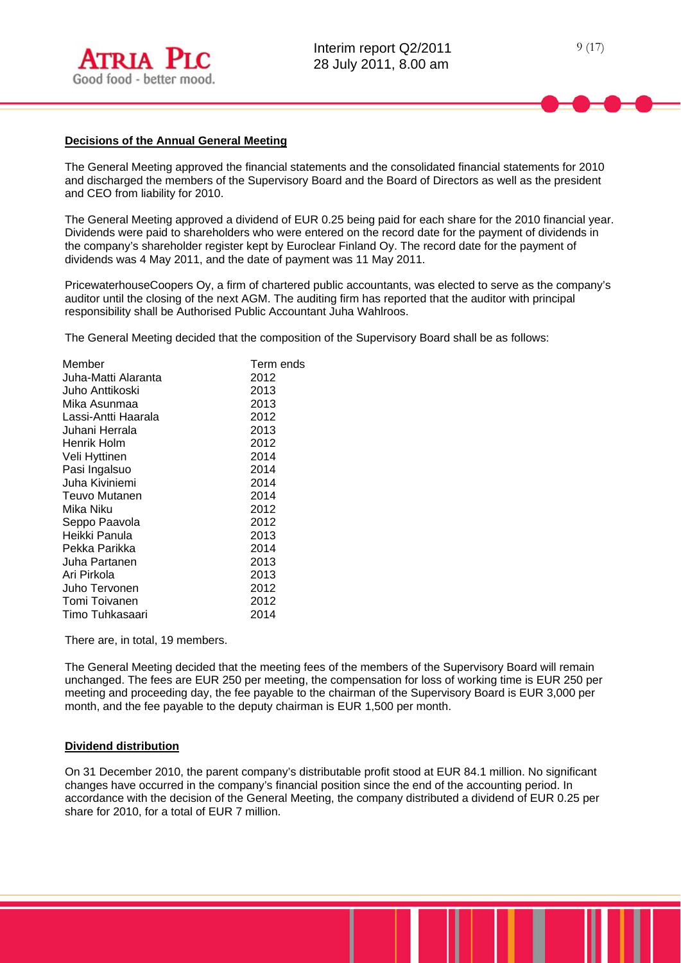

### **Decisions of the Annual General Meeting**

The General Meeting approved the financial statements and the consolidated financial statements for 2010 and discharged the members of the Supervisory Board and the Board of Directors as well as the president and CEO from liability for 2010.

The General Meeting approved a dividend of EUR 0.25 being paid for each share for the 2010 financial year. Dividends were paid to shareholders who were entered on the record date for the payment of dividends in the company's shareholder register kept by Euroclear Finland Oy. The record date for the payment of dividends was 4 May 2011, and the date of payment was 11 May 2011.

PricewaterhouseCoopers Oy, a firm of chartered public accountants, was elected to serve as the company's auditor until the closing of the next AGM. The auditing firm has reported that the auditor with principal responsibility shall be Authorised Public Accountant Juha Wahlroos.

The General Meeting decided that the composition of the Supervisory Board shall be as follows:

| Member              | Term ends |
|---------------------|-----------|
| Juha-Matti Alaranta | 2012      |
| Juho Anttikoski     | 2013      |
| Mika Asunmaa        | 2013      |
| Lassi-Antti Haarala | 2012      |
| Juhani Herrala      | 2013      |
| Henrik Holm         | 2012      |
| Veli Hyttinen       | 2014      |
| Pasi Ingalsuo       | 2014      |
| Juha Kiviniemi      | 2014      |
| Teuvo Mutanen       | 2014      |
| Mika Niku           | 2012      |
| Seppo Paavola       | 2012      |
| Heikki Panula       | 2013      |
| Pekka Parikka       | 2014      |
| Juha Partanen       | 2013      |
| Ari Pirkola         | 2013      |
| Juho Tervonen       | 2012      |
| Tomi Toivanen       | 2012      |
| Timo Tuhkasaari     | 2014      |
|                     |           |

There are, in total, 19 members.

The General Meeting decided that the meeting fees of the members of the Supervisory Board will remain unchanged. The fees are EUR 250 per meeting, the compensation for loss of working time is EUR 250 per meeting and proceeding day, the fee payable to the chairman of the Supervisory Board is EUR 3,000 per month, and the fee payable to the deputy chairman is EUR 1,500 per month.

# **Dividend distribution**

On 31 December 2010, the parent company's distributable profit stood at EUR 84.1 million. No significant changes have occurred in the company's financial position since the end of the accounting period. In accordance with the decision of the General Meeting, the company distributed a dividend of EUR 0.25 per share for 2010, for a total of EUR 7 million.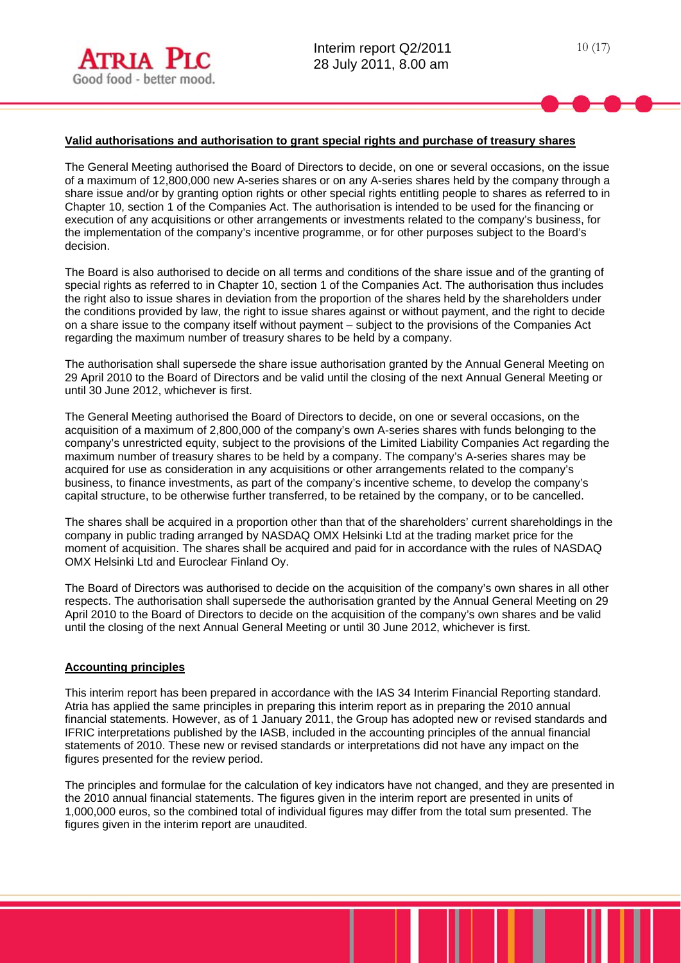### **Valid authorisations and authorisation to grant special rights and purchase of treasury shares**

The General Meeting authorised the Board of Directors to decide, on one or several occasions, on the issue of a maximum of 12,800,000 new A-series shares or on any A-series shares held by the company through a share issue and/or by granting option rights or other special rights entitling people to shares as referred to in Chapter 10, section 1 of the Companies Act. The authorisation is intended to be used for the financing or execution of any acquisitions or other arrangements or investments related to the company's business, for the implementation of the company's incentive programme, or for other purposes subject to the Board's decision.

The Board is also authorised to decide on all terms and conditions of the share issue and of the granting of special rights as referred to in Chapter 10, section 1 of the Companies Act. The authorisation thus includes the right also to issue shares in deviation from the proportion of the shares held by the shareholders under the conditions provided by law, the right to issue shares against or without payment, and the right to decide on a share issue to the company itself without payment – subject to the provisions of the Companies Act regarding the maximum number of treasury shares to be held by a company.

The authorisation shall supersede the share issue authorisation granted by the Annual General Meeting on 29 April 2010 to the Board of Directors and be valid until the closing of the next Annual General Meeting or until 30 June 2012, whichever is first.

The General Meeting authorised the Board of Directors to decide, on one or several occasions, on the acquisition of a maximum of 2,800,000 of the company's own A-series shares with funds belonging to the company's unrestricted equity, subject to the provisions of the Limited Liability Companies Act regarding the maximum number of treasury shares to be held by a company. The company's A-series shares may be acquired for use as consideration in any acquisitions or other arrangements related to the company's business, to finance investments, as part of the company's incentive scheme, to develop the company's capital structure, to be otherwise further transferred, to be retained by the company, or to be cancelled.

The shares shall be acquired in a proportion other than that of the shareholders' current shareholdings in the company in public trading arranged by NASDAQ OMX Helsinki Ltd at the trading market price for the moment of acquisition. The shares shall be acquired and paid for in accordance with the rules of NASDAQ OMX Helsinki Ltd and Euroclear Finland Oy.

The Board of Directors was authorised to decide on the acquisition of the company's own shares in all other respects. The authorisation shall supersede the authorisation granted by the Annual General Meeting on 29 April 2010 to the Board of Directors to decide on the acquisition of the company's own shares and be valid until the closing of the next Annual General Meeting or until 30 June 2012, whichever is first.

### **Accounting principles**

This interim report has been prepared in accordance with the IAS 34 Interim Financial Reporting standard. Atria has applied the same principles in preparing this interim report as in preparing the 2010 annual financial statements. However, as of 1 January 2011, the Group has adopted new or revised standards and IFRIC interpretations published by the IASB, included in the accounting principles of the annual financial statements of 2010. These new or revised standards or interpretations did not have any impact on the figures presented for the review period.

The principles and formulae for the calculation of key indicators have not changed, and they are presented in the 2010 annual financial statements. The figures given in the interim report are presented in units of 1,000,000 euros, so the combined total of individual figures may differ from the total sum presented. The figures given in the interim report are unaudited.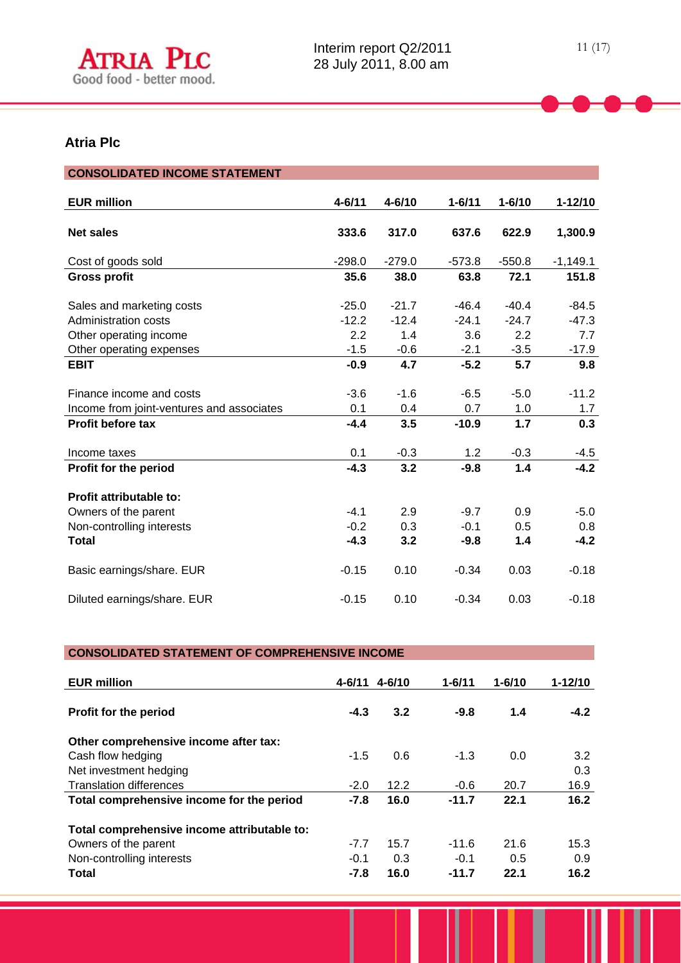

# **Atria Plc**

l

| <b>CONSOLIDATED INCOME STATEMENT</b>      |            |            |            |            |             |
|-------------------------------------------|------------|------------|------------|------------|-------------|
|                                           |            |            |            |            |             |
| <b>EUR million</b>                        | $4 - 6/11$ | $4 - 6/10$ | $1 - 6/11$ | $1 - 6/10$ | $1 - 12/10$ |
|                                           |            |            |            |            |             |
| <b>Net sales</b>                          | 333.6      | 317.0      | 637.6      | 622.9      | 1,300.9     |
|                                           |            |            |            |            |             |
| Cost of goods sold                        | $-298.0$   | $-279.0$   | $-573.8$   | $-550.8$   | $-1,149.1$  |
| <b>Gross profit</b>                       | 35.6       | 38.0       | 63.8       | 72.1       | 151.8       |
|                                           |            |            |            |            |             |
| Sales and marketing costs                 | $-25.0$    | $-21.7$    | $-46.4$    | $-40.4$    | $-84.5$     |
| Administration costs                      | $-12.2$    | $-12.4$    | $-24.1$    | $-24.7$    | $-47.3$     |
| Other operating income                    | 2.2        | 1.4        | 3.6        | 2.2        | 7.7         |
| Other operating expenses                  | $-1.5$     | $-0.6$     | $-2.1$     | $-3.5$     | $-17.9$     |
| <b>EBIT</b>                               | $-0.9$     | 4.7        | $-5.2$     | 5.7        | 9.8         |
|                                           |            |            |            |            |             |
| Finance income and costs                  | $-3.6$     | $-1.6$     | $-6.5$     | $-5.0$     | $-11.2$     |
| Income from joint-ventures and associates | 0.1        | 0.4        | 0.7        | 1.0        | 1.7         |
| <b>Profit before tax</b>                  | $-4.4$     | 3.5        | $-10.9$    | 1.7        | 0.3         |
|                                           |            |            |            |            |             |
| Income taxes                              | 0.1        | $-0.3$     | 1.2        | $-0.3$     | $-4.5$      |
| Profit for the period                     | $-4.3$     | 3.2        | $-9.8$     | 1.4        | $-4.2$      |
|                                           |            |            |            |            |             |
| Profit attributable to:                   |            |            |            |            |             |
| Owners of the parent                      | $-4.1$     | 2.9        | $-9.7$     | 0.9        | $-5.0$      |
| Non-controlling interests                 | $-0.2$     | 0.3        | $-0.1$     | 0.5        | 0.8         |
| <b>Total</b>                              | $-4.3$     | 3.2        | $-9.8$     | 1.4        | $-4.2$      |
|                                           |            |            |            |            |             |
| Basic earnings/share. EUR                 | $-0.15$    | 0.10       | $-0.34$    | 0.03       | $-0.18$     |
|                                           |            |            |            |            |             |
| Diluted earnings/share. EUR               | $-0.15$    | 0.10       | $-0.34$    | 0.03       | $-0.18$     |
|                                           |            |            |            |            |             |

# **CONSOLIDATED STATEMENT OF COMPREHENSIVE INCOME**

| <b>EUR million</b>                          | $4 - 6/11$ | $4 - 6/10$ | $1 - 6/11$ | $1 - 6/10$ | $1 - 12/10$ |
|---------------------------------------------|------------|------------|------------|------------|-------------|
| Profit for the period                       | $-4.3$     | 3.2        | $-9.8$     | 1.4        | $-4.2$      |
| Other comprehensive income after tax:       |            |            |            |            |             |
| Cash flow hedging                           | $-1.5$     | 0.6        | $-1.3$     | 0.0        | 3.2         |
| Net investment hedging                      |            |            |            |            | 0.3         |
| <b>Translation differences</b>              | $-2.0$     | 12.2       | $-0.6$     | 20.7       | 16.9        |
| Total comprehensive income for the period   | $-7.8$     | 16.0       | $-11.7$    | 22.1       | 16.2        |
| Total comprehensive income attributable to: |            |            |            |            |             |
| Owners of the parent                        | $-7.7$     | 15.7       | $-11.6$    | 21.6       | 15.3        |
| Non-controlling interests                   | $-0.1$     | 0.3        | $-0.1$     | 0.5        | 0.9         |
| <b>Total</b>                                | $-7.8$     | 16.0       | $-11.7$    | 22.1       | 16.2        |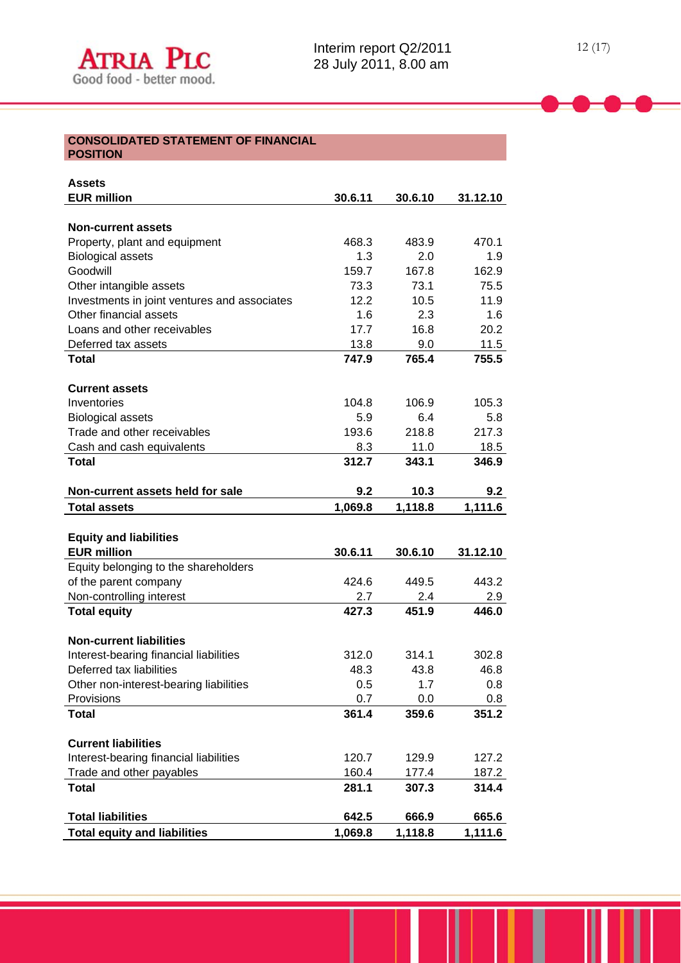#### **CONSOLIDATED STATEMENT OF FINANCIAL POSITION**

| <b>Assets</b>                                                   |                  |                  |                  |
|-----------------------------------------------------------------|------------------|------------------|------------------|
| <b>EUR million</b>                                              | 30.6.11          | 30.6.10          | 31.12.10         |
|                                                                 |                  |                  |                  |
| <b>Non-current assets</b>                                       |                  |                  |                  |
| Property, plant and equipment                                   | 468.3            | 483.9            | 470.1            |
| <b>Biological assets</b>                                        | 1.3              | 2.0              | 1.9              |
| Goodwill                                                        | 159.7            | 167.8            | 162.9            |
| Other intangible assets                                         | 73.3             | 73.1             | 75.5             |
| Investments in joint ventures and associates                    | 12.2             | 10.5             | 11.9             |
| Other financial assets                                          | 1.6              | 2.3              | 1.6              |
| Loans and other receivables                                     | 17.7             | 16.8             | 20.2             |
| Deferred tax assets                                             | 13.8             | 9.0              | 11.5             |
| <b>Total</b>                                                    | 747.9            | 765.4            | 755.5            |
| <b>Current assets</b>                                           |                  |                  |                  |
| Inventories                                                     | 104.8            | 106.9            | 105.3            |
| <b>Biological assets</b>                                        | 5.9              | 6.4              | 5.8              |
| Trade and other receivables                                     | 193.6            | 218.8            | 217.3            |
| Cash and cash equivalents                                       | 8.3              | 11.0             | 18.5             |
| Total                                                           | 312.7            | 343.1            | 346.9            |
| Non-current assets held for sale                                | 9.2              | 10.3             | 9.2              |
| <b>Total assets</b>                                             | 1,069.8          | 1,118.8          | 1,111.6          |
|                                                                 |                  |                  |                  |
| <b>Equity and liabilities</b>                                   |                  |                  |                  |
| <b>EUR million</b>                                              | 30.6.11          | 30.6.10          | 31.12.10         |
| Equity belonging to the shareholders                            |                  |                  |                  |
| of the parent company                                           | 424.6            | 449.5            | 443.2            |
| Non-controlling interest                                        | 2.7              | 2.4              | 2.9              |
| <b>Total equity</b>                                             | 427.3            | 451.9            | 446.0            |
| <b>Non-current liabilities</b>                                  |                  |                  |                  |
| Interest-bearing financial liabilities                          | 312.0            | 314.1            | 302.8            |
| Deferred tax liabilities                                        | 48.3             | 43.8             | 46.8             |
| Other non-interest-bearing liabilities                          | 0.5              | 1.7              | 0.8              |
| Provisions                                                      | 0.7              | 0.0              | 0.8              |
| <b>Total</b>                                                    | 361.4            | 359.6            | 351.2            |
| <b>Current liabilities</b>                                      |                  |                  |                  |
| Interest-bearing financial liabilities                          | 120.7            | 129.9            | 127.2            |
| Trade and other payables                                        |                  | 177.4            | 187.2            |
|                                                                 |                  |                  |                  |
| <b>Total</b>                                                    | 160.4<br>281.1   |                  | 314.4            |
|                                                                 |                  | 307.3            |                  |
| <b>Total liabilities</b><br><b>Total equity and liabilities</b> | 642.5<br>1,069.8 | 666.9<br>1,118.8 | 665.6<br>1,111.6 |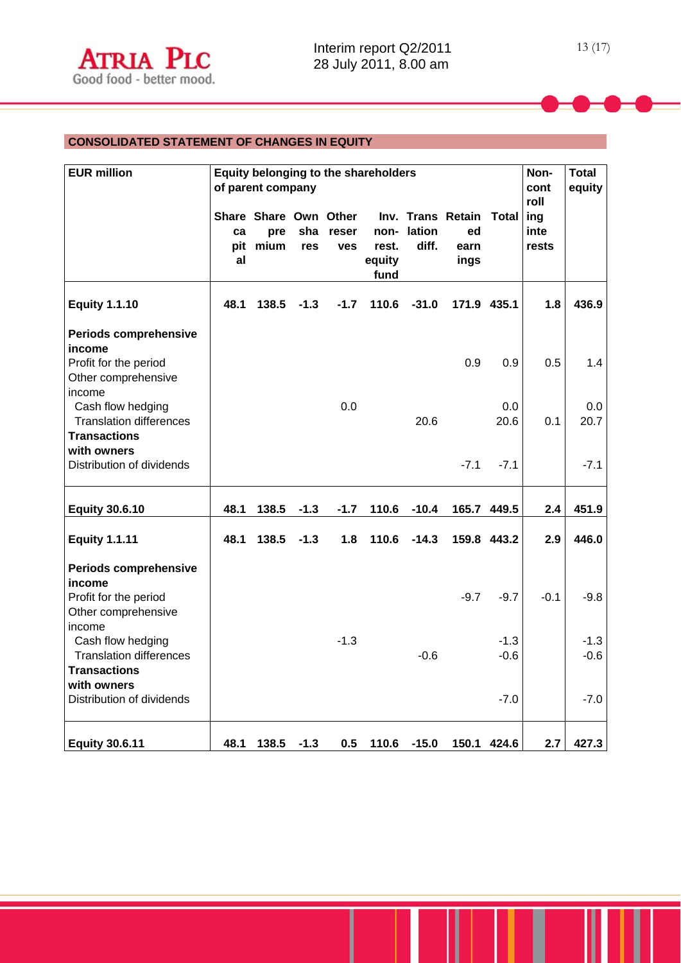# **CONSOLIDATED STATEMENT OF CHANGES IN EQUITY**

| <b>EUR million</b>                                                                     |          | Equity belonging to the shareholders<br>of parent company |            |                     |                         |                     |                                               |                  | Non-<br>cont<br>roll | <b>Total</b><br>equity |
|----------------------------------------------------------------------------------------|----------|-----------------------------------------------------------|------------|---------------------|-------------------------|---------------------|-----------------------------------------------|------------------|----------------------|------------------------|
|                                                                                        | ca<br>al | Share Share Own Other<br>pre<br>pit mium                  | sha<br>res | reser<br><b>ves</b> | rest.<br>equity<br>fund | non-lation<br>diff. | Inv. Trans Retain Total<br>ed<br>earn<br>ings |                  | ing<br>inte<br>rests |                        |
| <b>Equity 1.1.10</b>                                                                   | 48.1     | 138.5                                                     | $-1.3$     | $-1.7$              | 110.6                   | $-31.0$             |                                               | 171.9 435.1      | 1.8                  | 436.9                  |
| Periods comprehensive<br>income<br>Profit for the period<br>Other comprehensive        |          |                                                           |            |                     |                         |                     | 0.9                                           | 0.9              | 0.5                  | 1.4                    |
| income<br>Cash flow hedging<br><b>Translation differences</b><br><b>Transactions</b>   |          |                                                           |            | 0.0                 |                         | 20.6                |                                               | 0.0<br>20.6      | 0.1                  | 0.0<br>20.7            |
| with owners<br>Distribution of dividends                                               |          |                                                           |            |                     |                         |                     | $-7.1$                                        | $-7.1$           |                      | $-7.1$                 |
| <b>Equity 30.6.10</b>                                                                  | 48.1     | 138.5                                                     | $-1.3$     | $-1.7$              | 110.6                   | $-10.4$             |                                               | 165.7 449.5      | 2.4                  | 451.9                  |
| <b>Equity 1.1.11</b>                                                                   | 48.1     | 138.5                                                     | $-1.3$     | 1.8                 | 110.6                   | $-14.3$             |                                               | 159.8 443.2      | 2.9                  | 446.0                  |
| <b>Periods comprehensive</b><br>income<br>Profit for the period<br>Other comprehensive |          |                                                           |            |                     |                         |                     | $-9.7$                                        | $-9.7$           | $-0.1$               | $-9.8$                 |
| income<br>Cash flow hedging<br><b>Translation differences</b><br><b>Transactions</b>   |          |                                                           |            | $-1.3$              |                         | $-0.6$              |                                               | $-1.3$<br>$-0.6$ |                      | $-1.3$<br>$-0.6$       |
| with owners<br>Distribution of dividends                                               |          |                                                           |            |                     |                         |                     |                                               | $-7.0$           |                      | $-7.0$                 |
| <b>Equity 30.6.11</b>                                                                  | 48.1     | 138.5                                                     | $-1.3$     | 0.5                 | 110.6                   | $-15.0$             |                                               | 150.1 424.6      | 2.7                  | 427.3                  |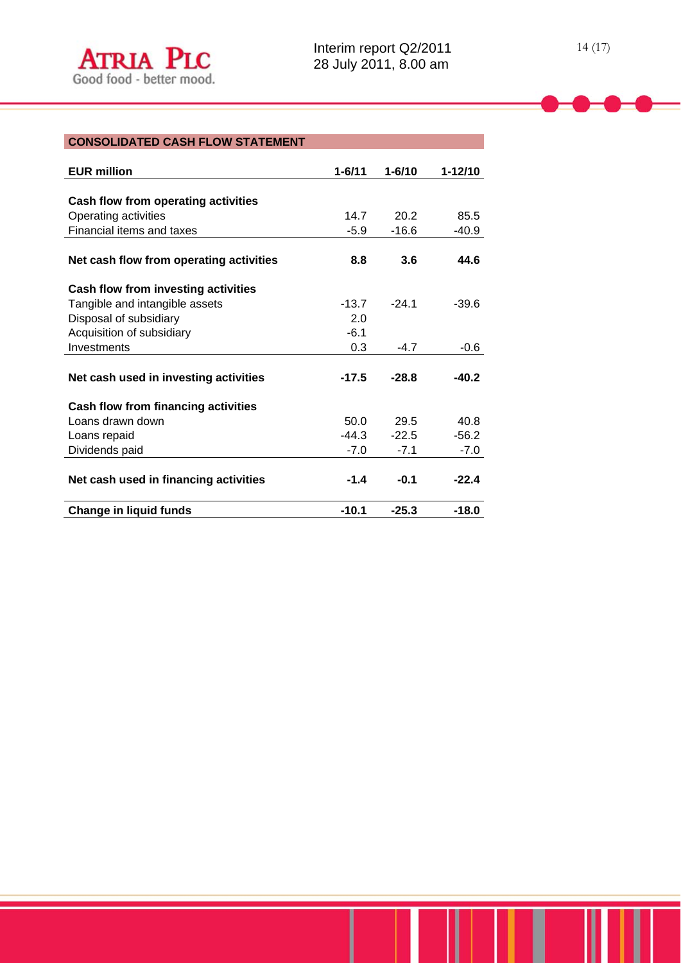| <b>EUR million</b>                      | $1 - 6/11$ | $1 - 6/10$ | $1 - 12/10$ |
|-----------------------------------------|------------|------------|-------------|
|                                         |            |            |             |
| Cash flow from operating activities     |            |            |             |
| Operating activities                    | 14.7       | 20.2       | 85.5        |
| Financial items and taxes               | $-5.9$     | $-16.6$    | $-40.9$     |
|                                         |            |            |             |
| Net cash flow from operating activities | 8.8        | 3.6        | 44.6        |
| Cash flow from investing activities     |            |            |             |
| Tangible and intangible assets          | $-13.7$    | $-24.1$    | $-39.6$     |
| Disposal of subsidiary                  | 2.0        |            |             |
| Acquisition of subsidiary               | $-6.1$     |            |             |
| Investments                             | 0.3        | $-4.7$     | $-0.6$      |
|                                         |            |            |             |
| Net cash used in investing activities   | $-17.5$    | $-28.8$    | $-40.2$     |
| Cash flow from financing activities     |            |            |             |
| Loans drawn down                        | 50.0       | 29.5       | 40.8        |
| Loans repaid                            | $-44.3$    | $-22.5$    | $-56.2$     |
| Dividends paid                          | $-7.0$     | $-7.1$     | $-7.0$      |
|                                         |            |            |             |
| Net cash used in financing activities   | $-1.4$     | $-0.1$     | $-22.4$     |
| <b>Change in liquid funds</b>           | $-10.1$    | $-25.3$    | $-18.0$     |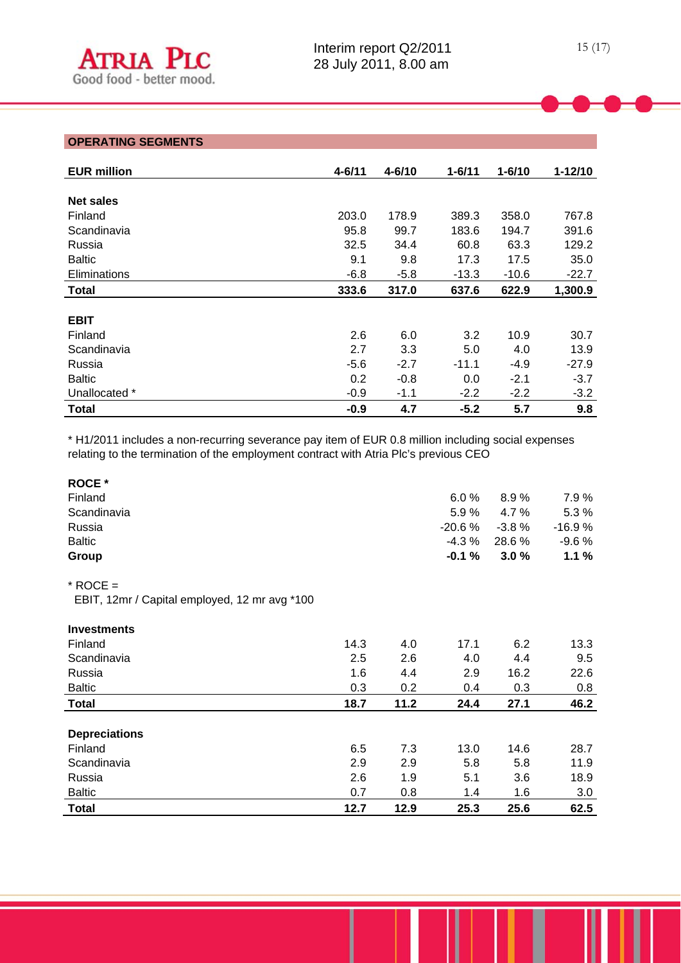# **OPERATING SEGMENTS**

l

| <b>EUR million</b> | $4 - 6/11$ | $4 - 6/10$ | $1 - 6/11$ | $1 - 6/10$ | $1 - 12/10$ |
|--------------------|------------|------------|------------|------------|-------------|
|                    |            |            |            |            |             |
| <b>Net sales</b>   |            |            |            |            |             |
| Finland            | 203.0      | 178.9      | 389.3      | 358.0      | 767.8       |
| Scandinavia        | 95.8       | 99.7       | 183.6      | 194.7      | 391.6       |
| Russia             | 32.5       | 34.4       | 60.8       | 63.3       | 129.2       |
| <b>Baltic</b>      | 9.1        | 9.8        | 17.3       | 17.5       | 35.0        |
| Eliminations       | $-6.8$     | $-5.8$     | $-13.3$    | $-10.6$    | $-22.7$     |
| <b>Total</b>       | 333.6      | 317.0      | 637.6      | 622.9      | 1,300.9     |
|                    |            |            |            |            |             |
| <b>EBIT</b>        |            |            |            |            |             |
| Finland            | 2.6        | 6.0        | 3.2        | 10.9       | 30.7        |
| Scandinavia        | 2.7        | 3.3        | 5.0        | 4.0        | 13.9        |
| Russia             | $-5.6$     | $-2.7$     | $-11.1$    | $-4.9$     | $-27.9$     |
| <b>Baltic</b>      | 0.2        | $-0.8$     | 0.0        | $-2.1$     | $-3.7$      |
| Unallocated *      | $-0.9$     | $-1.1$     | $-2.2$     | $-2.2$     | $-3.2$      |
| <b>Total</b>       | $-0.9$     | 4.7        | $-5.2$     | 5.7        | 9.8         |

\* H1/2011 includes a non-recurring severance pay item of EUR 0.8 million including social expenses relating to the termination of the employment contract with Atria Plc's previous CEO

| <b>ROCE</b> *<br>Finland<br>Scandinavia<br>Russia<br><b>Baltic</b><br>Group |      |      | 6.0%<br>5.9%<br>$-20.6%$<br>$-4.3%$<br>$-0.1%$ | 8.9%<br>4.7%<br>$-3.8%$<br>28.6 %<br>3.0% | 7.9%<br>5.3%<br>$-16.9%$<br>$-9.6%$<br>1.1% |
|-----------------------------------------------------------------------------|------|------|------------------------------------------------|-------------------------------------------|---------------------------------------------|
| $*$ ROCE =                                                                  |      |      |                                                |                                           |                                             |
| EBIT, 12mr / Capital employed, 12 mr avg *100                               |      |      |                                                |                                           |                                             |
| <b>Investments</b>                                                          |      |      |                                                |                                           |                                             |
| Finland                                                                     | 14.3 | 4.0  | 17.1                                           | 6.2                                       | 13.3                                        |
| Scandinavia                                                                 | 2.5  | 2.6  | 4.0                                            | 4.4                                       | 9.5                                         |
| Russia                                                                      | 1.6  | 4.4  | 2.9                                            | 16.2                                      | 22.6                                        |
| <b>Baltic</b>                                                               | 0.3  | 0.2  | 0.4                                            | 0.3                                       | 0.8                                         |
| <b>Total</b>                                                                | 18.7 | 11.2 | 24.4                                           | 27.1                                      | 46.2                                        |
|                                                                             |      |      |                                                |                                           |                                             |
| <b>Depreciations</b>                                                        |      |      |                                                |                                           |                                             |
| Finland                                                                     | 6.5  | 7.3  | 13.0                                           | 14.6                                      | 28.7                                        |
| Scandinavia                                                                 | 2.9  | 2.9  | 5.8                                            | 5.8                                       | 11.9                                        |
| Russia                                                                      | 2.6  | 1.9  | 5.1                                            | 3.6                                       | 18.9                                        |
| <b>Baltic</b>                                                               | 0.7  | 0.8  | 1.4                                            | 1.6                                       | 3.0                                         |
| <b>Total</b>                                                                | 12.7 | 12.9 | 25.3                                           | 25.6                                      | 62.5                                        |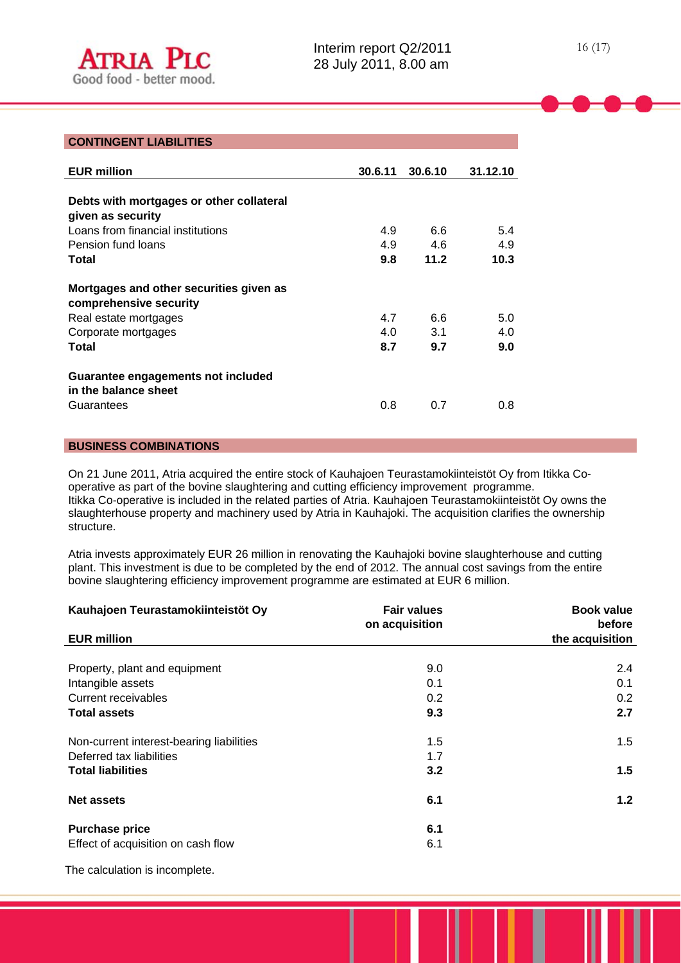### **CONTINGENT LIABILITIES**

l

| <b>EUR million</b>                                                                                                         | 30.6.11           | 30.6.10           | 31.12.10          |
|----------------------------------------------------------------------------------------------------------------------------|-------------------|-------------------|-------------------|
| Debts with mortgages or other collateral<br>given as security<br>Loans from financial institutions<br>Pension fund loans   | 4.9<br>4.9        | 6.6<br>4.6        | 5.4<br>4.9        |
| Total                                                                                                                      | 9.8               | 11.2              | 10.3              |
| Mortgages and other securities given as<br>comprehensive security<br>Real estate mortgages<br>Corporate mortgages<br>Total | 4.7<br>4.0<br>8.7 | 6.6<br>3.1<br>9.7 | 5.0<br>4.0<br>9.0 |
| Guarantee engagements not included<br>in the balance sheet<br>Guarantees                                                   | 0.8               | 0.7               | 0.8               |

### **BUSINESS COMBINATIONS**

On 21 June 2011, Atria acquired the entire stock of Kauhajoen Teurastamokiinteistöt Oy from Itikka Cooperative as part of the bovine slaughtering and cutting efficiency improvement programme. Itikka Co-operative is included in the related parties of Atria. Kauhajoen Teurastamokiinteistöt Oy owns the slaughterhouse property and machinery used by Atria in Kauhajoki. The acquisition clarifies the ownership structure.

Atria invests approximately EUR 26 million in renovating the Kauhajoki bovine slaughterhouse and cutting plant. This investment is due to be completed by the end of 2012. The annual cost savings from the entire bovine slaughtering efficiency improvement programme are estimated at EUR 6 million.

| Kauhajoen Teurastamokiinteistöt Oy       | <b>Fair values</b><br>on acquisition | <b>Book value</b><br>before |
|------------------------------------------|--------------------------------------|-----------------------------|
| <b>EUR million</b>                       |                                      | the acquisition             |
|                                          |                                      |                             |
| Property, plant and equipment            | 9.0                                  | 2.4                         |
| Intangible assets                        | 0.1                                  | 0.1                         |
| Current receivables                      | 0.2                                  | 0.2                         |
| <b>Total assets</b>                      | 9.3                                  | 2.7                         |
| Non-current interest-bearing liabilities | 1.5                                  | 1.5                         |
| Deferred tax liabilities                 | 1.7                                  |                             |
| <b>Total liabilities</b>                 | 3.2                                  | 1.5                         |
| <b>Net assets</b>                        | 6.1                                  | 1.2 <sub>2</sub>            |
| <b>Purchase price</b>                    | 6.1                                  |                             |
| Effect of acquisition on cash flow       | 6.1                                  |                             |

The calculation is incomplete.